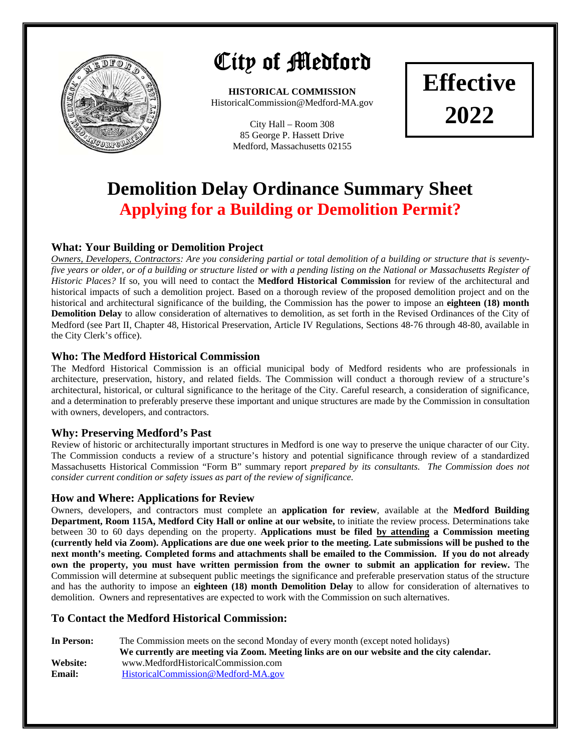

## City of Medford

**HISTORICAL COMMISSION**  HistoricalCommission@Medford-MA.gov

> City Hall – Room 308 85 George P. Hassett Drive Medford, Massachusetts 02155

**Effective 2022** 

### **Demolition Delay Ordinance Summary Sheet Applying for a Building or Demolition Permit?**

#### **What: Your Building or Demolition Project**

*Owners, Developers, Contractors: Are you considering partial or total demolition of a building or structure that is seventyfive years or older, or of a building or structure listed or with a pending listing on the National or Massachusetts Register of Historic Places?* If so, you will need to contact the **Medford Historical Commission** for review of the architectural and historical impacts of such a demolition project. Based on a thorough review of the proposed demolition project and on the historical and architectural significance of the building, the Commission has the power to impose an **eighteen (18) month Demolition Delay** to allow consideration of alternatives to demolition, as set forth in the Revised Ordinances of the City of Medford (see Part II, Chapter 48, Historical Preservation, Article IV Regulations, Sections 48‐76 through 48‐80, available in the City Clerk's office).

#### **Who: The Medford Historical Commission**

The Medford Historical Commission is an official municipal body of Medford residents who are professionals in architecture, preservation, history, and related fields. The Commission will conduct a thorough review of a structure's architectural, historical, or cultural significance to the heritage of the City. Careful research, a consideration of significance, and a determination to preferably preserve these important and unique structures are made by the Commission in consultation with owners, developers, and contractors.

#### **Why: Preserving Medford's Past**

Review of historic or architecturally important structures in Medford is one way to preserve the unique character of our City. The Commission conducts a review of a structure's history and potential significance through review of a standardized Massachusetts Historical Commission "Form B" summary report *prepared by its consultants. The Commission does not consider current condition or safety issues as part of the review of significance.*

#### **How and Where: Applications for Review**

Owners, developers, and contractors must complete an **application for review**, available at the **Medford Building Department, Room 115A, Medford City Hall or online at our website,** to initiate the review process. Determinations take between 30 to 60 days depending on the property. **Applications must be filed by attending a Commission meeting (currently held via Zoom). Applications are due one week prior to the meeting. Late submissions will be pushed to the next month's meeting. Completed forms and attachments shall be emailed to the Commission. If you do not already own the property, you must have written permission from the owner to submit an application for review.** The Commission will determine at subsequent public meetings the significance and preferable preservation status of the structure and has the authority to impose an **eighteen (18) month Demolition Delay** to allow for consideration of alternatives to demolition. Owners and representatives are expected to work with the Commission on such alternatives.

#### **To Contact the Medford Historical Commission:**

| In Person: | The Commission meets on the second Monday of every month (except noted holidays)           |  |  |  |  |
|------------|--------------------------------------------------------------------------------------------|--|--|--|--|
|            | We currently are meeting via Zoom. Meeting links are on our website and the city calendar. |  |  |  |  |
| Website:   | www.MedfordHistoricalCommission.com                                                        |  |  |  |  |
| Email:     | HistoricalCommission@Medford-MA.gov                                                        |  |  |  |  |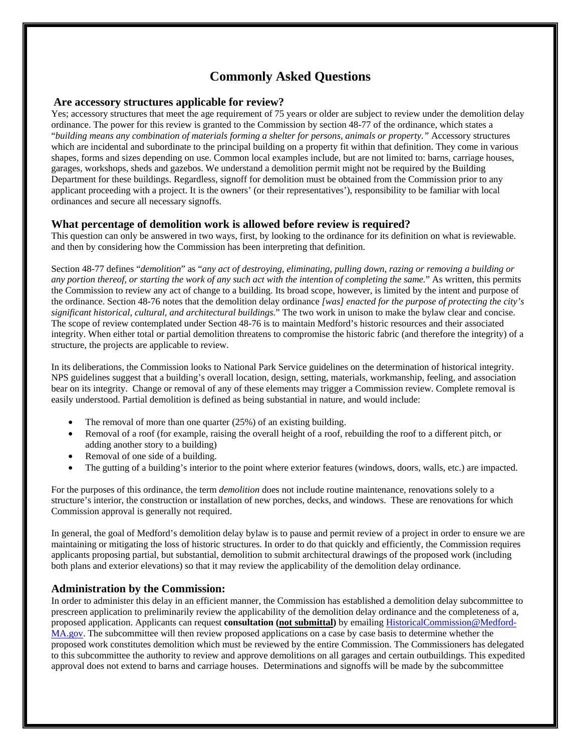#### **Commonly Asked Questions**

#### **Are accessory structures applicable for review?**

Yes; accessory structures that meet the age requirement of 75 years or older are subject to review under the demolition delay ordinance. The power for this review is granted to the Commission by section 48-77 of the ordinance, which states a "*building means any combination of materials forming a shelter for persons, animals or property."* Accessory structures which are incidental and subordinate to the principal building on a property fit within that definition. They come in various shapes, forms and sizes depending on use. Common local examples include, but are not limited to: barns, carriage houses, garages, workshops, sheds and gazebos. We understand a demolition permit might not be required by the Building Department for these buildings. Regardless, signoff for demolition must be obtained from the Commission prior to any applicant proceeding with a project. It is the owners' (or their representatives'), responsibility to be familiar with local ordinances and secure all necessary signoffs.

#### **What percentage of demolition work is allowed before review is required?**

This question can only be answered in two ways, first, by looking to the ordinance for its definition on what is reviewable. and then by considering how the Commission has been interpreting that definition.

Section 48-77 defines "*demolition*" as "*any act of destroying, eliminating, pulling down, razing or removing a building or any portion thereof, or starting the work of any such act with the intention of completing the same.*" As written, this permits the Commission to review any act of change to a building. Its broad scope, however, is limited by the intent and purpose of the ordinance. Section 48-76 notes that the demolition delay ordinance *[was] enacted for the purpose of protecting the city's significant historical, cultural, and architectural buildings.*" The two work in unison to make the bylaw clear and concise. The scope of review contemplated under Section 48-76 is to maintain Medford's historic resources and their associated integrity. When either total or partial demolition threatens to compromise the historic fabric (and therefore the integrity) of a structure, the projects are applicable to review.

In its deliberations, the Commission looks to National Park Service guidelines on the determination of historical integrity. NPS guidelines suggest that a building's overall location, design, setting, materials, workmanship, feeling, and association bear on its integrity. Change or removal of any of these elements may trigger a Commission review. Complete removal is easily understood. Partial demolition is defined as being substantial in nature, and would include:

- The removal of more than one quarter  $(25%)$  of an existing building.
- Removal of a roof (for example, raising the overall height of a roof, rebuilding the roof to a different pitch, or adding another story to a building)
- Removal of one side of a building.
- The gutting of a building's interior to the point where exterior features (windows, doors, walls, etc.) are impacted.

For the purposes of this ordinance, the term *demolition* does not include routine maintenance, renovations solely to a structure's interior, the construction or installation of new porches, decks, and windows. These are renovations for which Commission approval is generally not required.

In general, the goal of Medford's demolition delay bylaw is to pause and permit review of a project in order to ensure we are maintaining or mitigating the loss of historic structures. In order to do that quickly and efficiently, the Commission requires applicants proposing partial, but substantial, demolition to submit architectural drawings of the proposed work (including both plans and exterior elevations) so that it may review the applicability of the demolition delay ordinance.

#### **Administration by the Commission:**

In order to administer this delay in an efficient manner, the Commission has established a demolition delay subcommittee to prescreen application to preliminarily review the applicability of the demolition delay ordinance and the completeness of a, proposed application. Applicants can request **consultation (not submittal)** by emailing HistoricalCommission@Medford-MA.gov. The subcommittee will then review proposed applications on a case by case basis to determine whether the proposed work constitutes demolition which must be reviewed by the entire Commission. The Commissioners has delegated to this subcommittee the authority to review and approve demolitions on all garages and certain outbuildings. This expedited approval does not extend to barns and carriage houses. Determinations and signoffs will be made by the subcommittee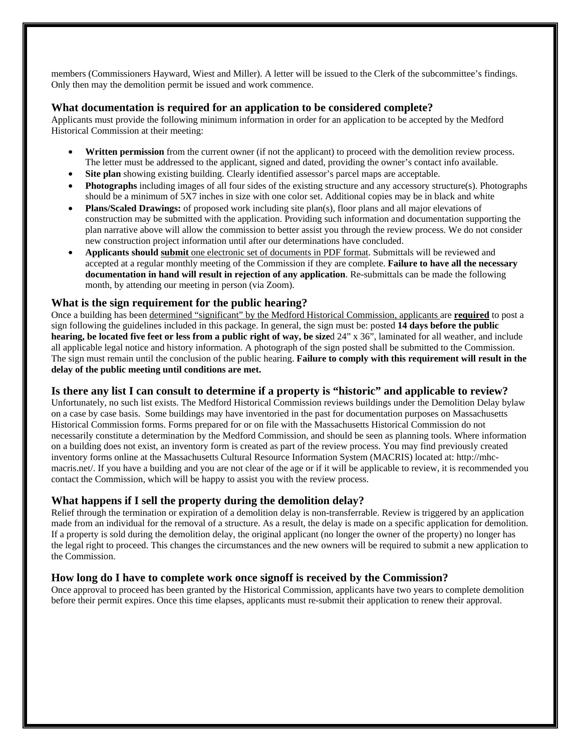members (Commissioners Hayward, Wiest and Miller). A letter will be issued to the Clerk of the subcommittee's findings. Only then may the demolition permit be issued and work commence.

#### **What documentation is required for an application to be considered complete?**

Applicants must provide the following minimum information in order for an application to be accepted by the Medford Historical Commission at their meeting:

- **Written permission** from the current owner (if not the applicant) to proceed with the demolition review process. The letter must be addressed to the applicant, signed and dated, providing the owner's contact info available.
- **Site plan** showing existing building. Clearly identified assessor's parcel maps are acceptable.
- **Photographs** including images of all four sides of the existing structure and any accessory structure(s). Photographs should be a minimum of 5X7 inches in size with one color set. Additional copies may be in black and white
- **Plans/Scaled Drawings:** of proposed work including site plan(s), floor plans and all major elevations of construction may be submitted with the application. Providing such information and documentation supporting the plan narrative above will allow the commission to better assist you through the review process. We do not consider new construction project information until after our determinations have concluded.
- **Applicants should submit** one electronic set of documents in PDF format. Submittals will be reviewed and accepted at a regular monthly meeting of the Commission if they are complete. **Failure to have all the necessary documentation in hand will result in rejection of any application**. Re-submittals can be made the following month, by attending our meeting in person (via Zoom).

#### **What is the sign requirement for the public hearing?**

Once a building has been determined "significant" by the Medford Historical Commission, applicants are **required** to post a sign following the guidelines included in this package. In general, the sign must be: posted **14 days before the public hearing, be located five feet or less from a public right of way, be size**d 24" x 36", laminated for all weather, and include all applicable legal notice and history information. A photograph of the sign posted shall be submitted to the Commission. The sign must remain until the conclusion of the public hearing. **Failure to comply with this requirement will result in the delay of the public meeting until conditions are met.** 

#### **Is there any list I can consult to determine if a property is "historic" and applicable to review?**

Unfortunately, no such list exists. The Medford Historical Commission reviews buildings under the Demolition Delay bylaw on a case by case basis. Some buildings may have inventoried in the past for documentation purposes on Massachusetts Historical Commission forms. Forms prepared for or on file with the Massachusetts Historical Commission do not necessarily constitute a determination by the Medford Commission, and should be seen as planning tools. Where information on a building does not exist, an inventory form is created as part of the review process. You may find previously created inventory forms online at the Massachusetts Cultural Resource Information System (MACRIS) located at: http://mhcmacris.net/. If you have a building and you are not clear of the age or if it will be applicable to review, it is recommended you contact the Commission, which will be happy to assist you with the review process.

#### **What happens if I sell the property during the demolition delay?**

Relief through the termination or expiration of a demolition delay is non-transferrable. Review is triggered by an application made from an individual for the removal of a structure. As a result, the delay is made on a specific application for demolition. If a property is sold during the demolition delay, the original applicant (no longer the owner of the property) no longer has the legal right to proceed. This changes the circumstances and the new owners will be required to submit a new application to the Commission.

#### **How long do I have to complete work once signoff is received by the Commission?**

Once approval to proceed has been granted by the Historical Commission, applicants have two years to complete demolition before their permit expires. Once this time elapses, applicants must re-submit their application to renew their approval.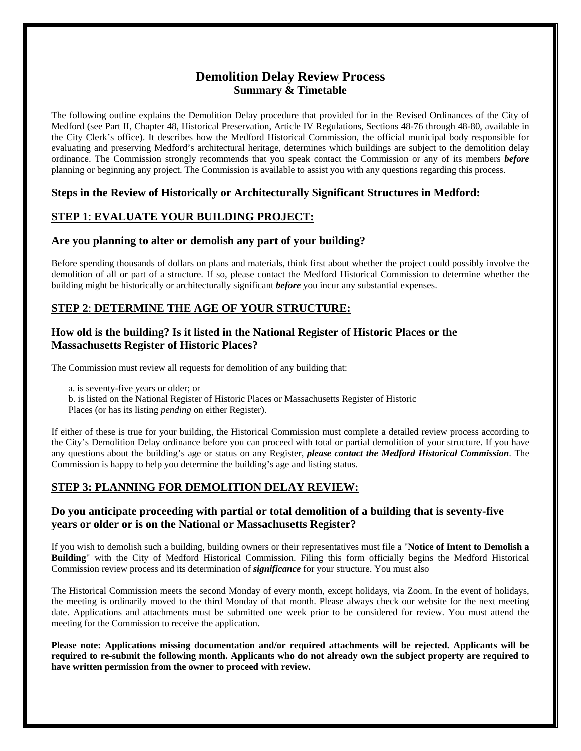#### **Demolition Delay Review Process Summary & Timetable**

The following outline explains the Demolition Delay procedure that provided for in the Revised Ordinances of the City of Medford (see Part II, Chapter 48, Historical Preservation, Article IV Regulations, Sections 48-76 through 48-80, available in the City Clerk's office). It describes how the Medford Historical Commission, the official municipal body responsible for evaluating and preserving Medford's architectural heritage, determines which buildings are subject to the demolition delay ordinance. The Commission strongly recommends that you speak contact the Commission or any of its members *before*  planning or beginning any project. The Commission is available to assist you with any questions regarding this process.

#### **Steps in the Review of Historically or Architecturally Significant Structures in Medford:**

#### **STEP 1**: **EVALUATE YOUR BUILDING PROJECT:**

#### **Are you planning to alter or demolish any part of your building?**

Before spending thousands of dollars on plans and materials, think first about whether the project could possibly involve the demolition of all or part of a structure. If so, please contact the Medford Historical Commission to determine whether the building might be historically or architecturally significant *before* you incur any substantial expenses.

#### **STEP 2**: **DETERMINE THE AGE OF YOUR STRUCTURE:**

#### **How old is the building? Is it listed in the National Register of Historic Places or the Massachusetts Register of Historic Places?**

The Commission must review all requests for demolition of any building that:

a. is seventy-five years or older; or

- b. is listed on the National Register of Historic Places or Massachusetts Register of Historic
- Places (or has its listing *pending* on either Register).

If either of these is true for your building, the Historical Commission must complete a detailed review process according to the City's Demolition Delay ordinance before you can proceed with total or partial demolition of your structure. If you have any questions about the building's age or status on any Register, *please contact the Medford Historical Commission*. The Commission is happy to help you determine the building's age and listing status.

#### **STEP 3: PLANNING FOR DEMOLITION DELAY REVIEW:**

#### **Do you anticipate proceeding with partial or total demolition of a building that is seventy-five years or older or is on the National or Massachusetts Register?**

If you wish to demolish such a building, building owners or their representatives must file a "**Notice of Intent to Demolish a Building**" with the City of Medford Historical Commission. Filing this form officially begins the Medford Historical Commission review process and its determination of *significance* for your structure. You must also

The Historical Commission meets the second Monday of every month, except holidays, via Zoom. In the event of holidays, the meeting is ordinarily moved to the third Monday of that month. Please always check our website for the next meeting date. Applications and attachments must be submitted one week prior to be considered for review. You must attend the meeting for the Commission to receive the application.

**Please note: Applications missing documentation and/or required attachments will be rejected. Applicants will be required to re-submit the following month. Applicants who do not already own the subject property are required to have written permission from the owner to proceed with review.**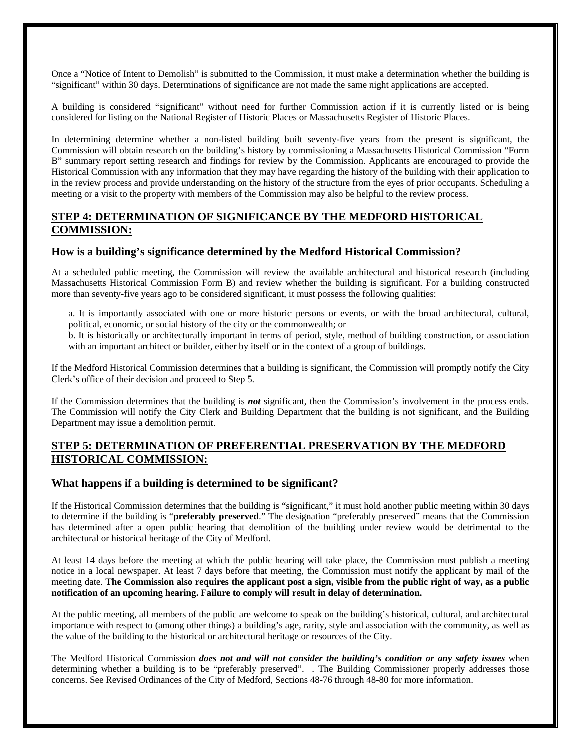Once a "Notice of Intent to Demolish" is submitted to the Commission, it must make a determination whether the building is "significant" within 30 days. Determinations of significance are not made the same night applications are accepted.

A building is considered "significant" without need for further Commission action if it is currently listed or is being considered for listing on the National Register of Historic Places or Massachusetts Register of Historic Places.

In determining determine whether a non-listed building built seventy-five years from the present is significant, the Commission will obtain research on the building's history by commissioning a Massachusetts Historical Commission "Form B" summary report setting research and findings for review by the Commission. Applicants are encouraged to provide the Historical Commission with any information that they may have regarding the history of the building with their application to in the review process and provide understanding on the history of the structure from the eyes of prior occupants. Scheduling a meeting or a visit to the property with members of the Commission may also be helpful to the review process.

#### **STEP 4: DETERMINATION OF SIGNIFICANCE BY THE MEDFORD HISTORICAL COMMISSION:**

#### **How is a building's significance determined by the Medford Historical Commission?**

At a scheduled public meeting, the Commission will review the available architectural and historical research (including Massachusetts Historical Commission Form B) and review whether the building is significant. For a building constructed more than seventy-five years ago to be considered significant, it must possess the following qualities:

a. It is importantly associated with one or more historic persons or events, or with the broad architectural, cultural, political, economic, or social history of the city or the commonwealth; or

b. It is historically or architecturally important in terms of period, style, method of building construction, or association with an important architect or builder, either by itself or in the context of a group of buildings.

If the Medford Historical Commission determines that a building is significant, the Commission will promptly notify the City Clerk's office of their decision and proceed to Step 5.

If the Commission determines that the building is *not* significant, then the Commission's involvement in the process ends. The Commission will notify the City Clerk and Building Department that the building is not significant, and the Building Department may issue a demolition permit.

#### **STEP 5: DETERMINATION OF PREFERENTIAL PRESERVATION BY THE MEDFORD HISTORICAL COMMISSION:**

#### **What happens if a building is determined to be significant?**

If the Historical Commission determines that the building is "significant," it must hold another public meeting within 30 days to determine if the building is "**preferably preserved**." The designation "preferably preserved" means that the Commission has determined after a open public hearing that demolition of the building under review would be detrimental to the architectural or historical heritage of the City of Medford.

At least 14 days before the meeting at which the public hearing will take place, the Commission must publish a meeting notice in a local newspaper. At least 7 days before that meeting, the Commission must notify the applicant by mail of the meeting date. **The Commission also requires the applicant post a sign, visible from the public right of way, as a public notification of an upcoming hearing. Failure to comply will result in delay of determination.** 

At the public meeting, all members of the public are welcome to speak on the building's historical, cultural, and architectural importance with respect to (among other things) a building's age, rarity, style and association with the community, as well as the value of the building to the historical or architectural heritage or resources of the City.

The Medford Historical Commission *does not and will not consider the building's condition or any safety issues* when determining whether a building is to be "preferably preserved". . The Building Commissioner properly addresses those concerns. See Revised Ordinances of the City of Medford, Sections 48-76 through 48-80 for more information.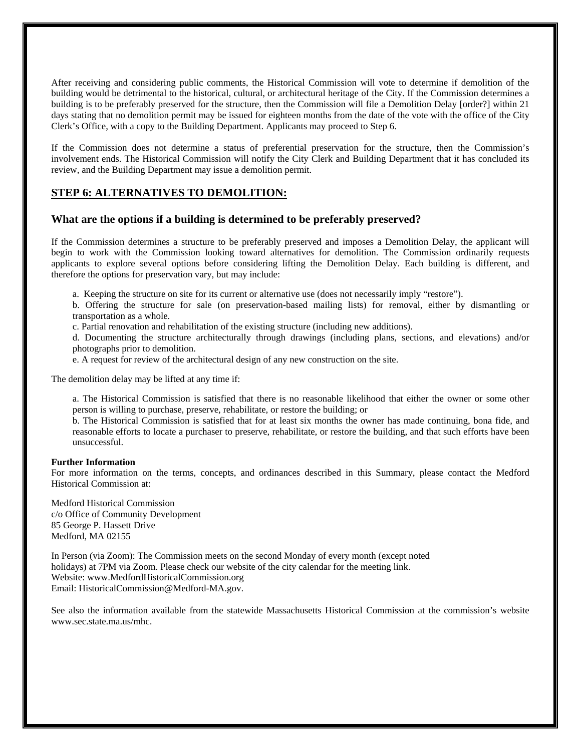After receiving and considering public comments, the Historical Commission will vote to determine if demolition of the building would be detrimental to the historical, cultural, or architectural heritage of the City. If the Commission determines a building is to be preferably preserved for the structure, then the Commission will file a Demolition Delay [order?] within 21 days stating that no demolition permit may be issued for eighteen months from the date of the vote with the office of the City Clerk's Office, with a copy to the Building Department. Applicants may proceed to Step 6.

If the Commission does not determine a status of preferential preservation for the structure, then the Commission's involvement ends. The Historical Commission will notify the City Clerk and Building Department that it has concluded its review, and the Building Department may issue a demolition permit.

#### **STEP 6: ALTERNATIVES TO DEMOLITION:**

#### **What are the options if a building is determined to be preferably preserved?**

If the Commission determines a structure to be preferably preserved and imposes a Demolition Delay, the applicant will begin to work with the Commission looking toward alternatives for demolition. The Commission ordinarily requests applicants to explore several options before considering lifting the Demolition Delay. Each building is different, and therefore the options for preservation vary, but may include:

a. Keeping the structure on site for its current or alternative use (does not necessarily imply "restore").

b. Offering the structure for sale (on preservation-based mailing lists) for removal, either by dismantling or transportation as a whole.

c. Partial renovation and rehabilitation of the existing structure (including new additions).

d. Documenting the structure architecturally through drawings (including plans, sections, and elevations) and/or photographs prior to demolition.

e. A request for review of the architectural design of any new construction on the site.

The demolition delay may be lifted at any time if:

a. The Historical Commission is satisfied that there is no reasonable likelihood that either the owner or some other person is willing to purchase, preserve, rehabilitate, or restore the building; or

b. The Historical Commission is satisfied that for at least six months the owner has made continuing, bona fide, and reasonable efforts to locate a purchaser to preserve, rehabilitate, or restore the building, and that such efforts have been unsuccessful.

#### **Further Information**

For more information on the terms, concepts, and ordinances described in this Summary, please contact the Medford Historical Commission at:

Medford Historical Commission c/o Office of Community Development 85 George P. Hassett Drive Medford, MA 02155

In Person (via Zoom): The Commission meets on the second Monday of every month (except noted holidays) at 7PM via Zoom. Please check our website of the city calendar for the meeting link. Website: www.MedfordHistoricalCommission.org Email: HistoricalCommission@Medford-MA.gov.

See also the information available from the statewide Massachusetts Historical Commission at the commission's website www.sec.state.ma.us/mhc.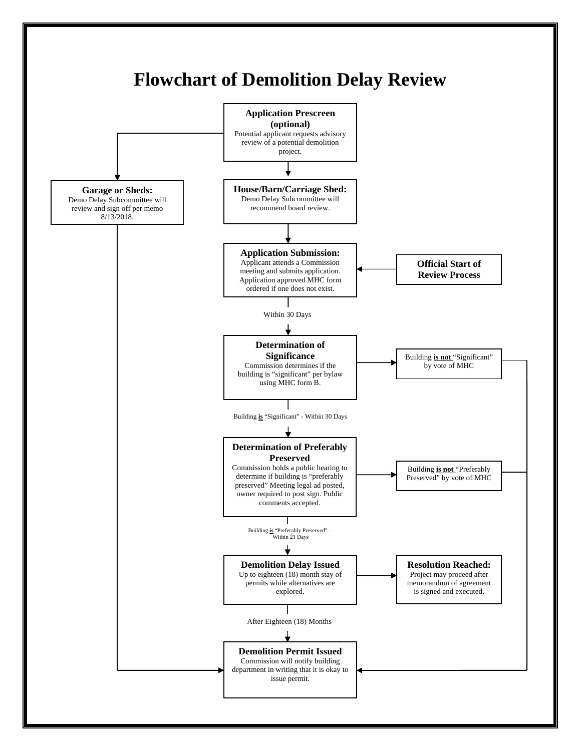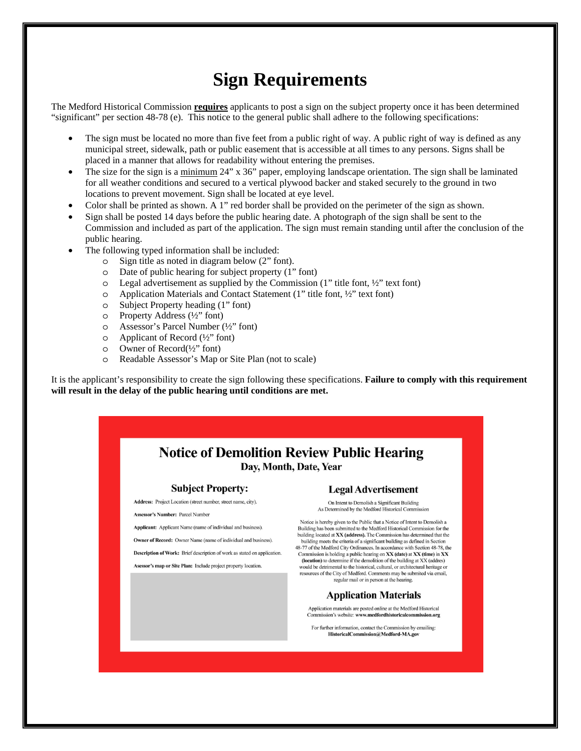## **Sign Requirements**

The Medford Historical Commission **requires** applicants to post a sign on the subject property once it has been determined "significant" per section 48-78 (e). This notice to the general public shall adhere to the following specifications:

- The sign must be located no more than five feet from a public right of way. A public right of way is defined as any municipal street, sidewalk, path or public easement that is accessible at all times to any persons. Signs shall be placed in a manner that allows for readability without entering the premises.
- The size for the sign is a minimum 24" x 36" paper, employing landscape orientation. The sign shall be laminated for all weather conditions and secured to a vertical plywood backer and staked securely to the ground in two locations to prevent movement. Sign shall be located at eye level.
- Color shall be printed as shown. A 1" red border shall be provided on the perimeter of the sign as shown.
- Sign shall be posted 14 days before the public hearing date. A photograph of the sign shall be sent to the Commission and included as part of the application. The sign must remain standing until after the conclusion of the public hearing.
- The following typed information shall be included:
	- o Sign title as noted in diagram below (2" font).
	- o Date of public hearing for subject property (1" font)
	- o Legal advertisement as supplied by the Commission (1" title font, ½" text font)
	- o Application Materials and Contact Statement (1" title font, ½" text font)
	- o Subject Property heading (1" font)
	- o Property Address (½" font)
	- o Assessor's Parcel Number (½" font)
	- o Applicant of Record (½" font)
	- o Owner of Record(½" font)
	- o Readable Assessor's Map or Site Plan (not to scale)

It is the applicant's responsibility to create the sign following these specifications. **Failure to comply with this requirement will result in the delay of the public hearing until conditions are met.** 

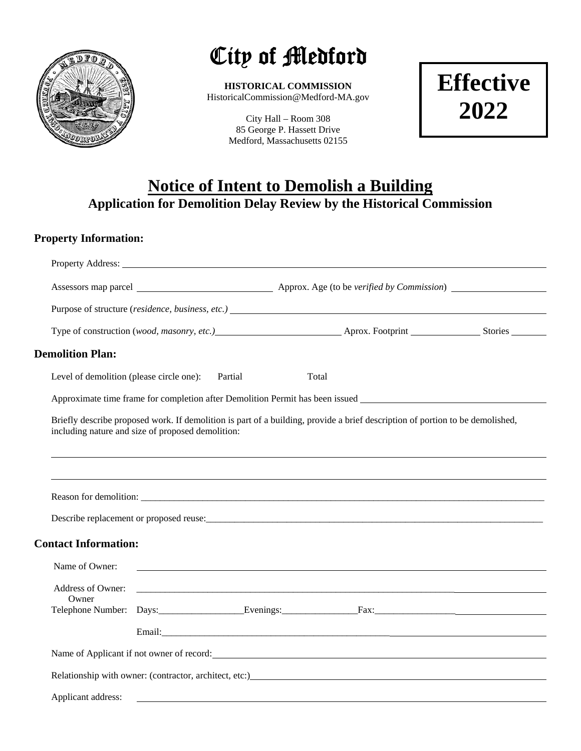

# City of Medford

**HISTORICAL COMMISSION**  HistoricalCommission@Medford-MA.gov

> City Hall – Room 308 85 George P. Hassett Drive Medford, Massachusetts 02155

**Effective 2022** 

### **Notice of Intent to Demolish a Building Application for Demolition Delay Review by the Historical Commission**

#### **Property Information:**

| Property Address: Universe of the Contract of the Contract of the Contract of the Contract of the Contract of the Contract of the Contract of the Contract of the Contract of the Contract of the Contract of the Contract of |  |  |       |                                                                                                                               |  |
|-------------------------------------------------------------------------------------------------------------------------------------------------------------------------------------------------------------------------------|--|--|-------|-------------------------------------------------------------------------------------------------------------------------------|--|
|                                                                                                                                                                                                                               |  |  |       |                                                                                                                               |  |
|                                                                                                                                                                                                                               |  |  |       | Purpose of structure (residence, business, etc.)                                                                              |  |
|                                                                                                                                                                                                                               |  |  |       |                                                                                                                               |  |
| <b>Demolition Plan:</b>                                                                                                                                                                                                       |  |  |       |                                                                                                                               |  |
| Level of demolition (please circle one): Partial                                                                                                                                                                              |  |  | Total |                                                                                                                               |  |
|                                                                                                                                                                                                                               |  |  |       | Approximate time frame for completion after Demolition Permit has been issued                                                 |  |
| including nature and size of proposed demolition:                                                                                                                                                                             |  |  |       | Briefly describe proposed work. If demolition is part of a building, provide a brief description of portion to be demolished, |  |
|                                                                                                                                                                                                                               |  |  |       |                                                                                                                               |  |
|                                                                                                                                                                                                                               |  |  |       |                                                                                                                               |  |
|                                                                                                                                                                                                                               |  |  |       |                                                                                                                               |  |
| <b>Contact Information:</b>                                                                                                                                                                                                   |  |  |       |                                                                                                                               |  |
| Name of Owner:                                                                                                                                                                                                                |  |  |       |                                                                                                                               |  |
| Owner                                                                                                                                                                                                                         |  |  |       |                                                                                                                               |  |
|                                                                                                                                                                                                                               |  |  |       | Telephone Number: Days: Evenings: Fax: Fax:                                                                                   |  |
|                                                                                                                                                                                                                               |  |  |       |                                                                                                                               |  |
|                                                                                                                                                                                                                               |  |  |       | Name of Applicant if not owner of record:                                                                                     |  |
|                                                                                                                                                                                                                               |  |  |       |                                                                                                                               |  |
| Applicant address:                                                                                                                                                                                                            |  |  |       |                                                                                                                               |  |